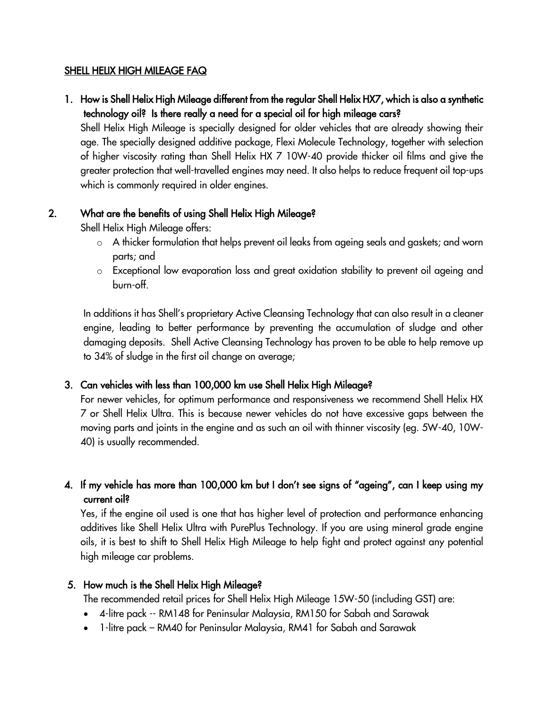#### SHELL HELIX HIGH MILEAGE FAQ

1. How is Shell Helix High Mileage different from the regular Shell Helix HX7, which is also a synthetic technology oil? Is there really a need for a special oil for high mileage cars?

Shell Helix High Mileage is specially designed for older vehicles that are already showing their age. The specially designed additive package, Flexi Molecule Technology, together with selection of higher viscosity rating than Shell Helix HX 7 10W-40 provide thicker oil films and give the greater protection that well-travelled engines may need. It also helps to reduce frequent oil top-ups which is commonly required in older engines.

#### 2. What are the benefits of using Shell Helix High Mileage?

Shell Helix High Mileage offers:

- o A thicker formulation that helps prevent oil leaks from ageing seals and gaskets; and worn parts; and
- o Exceptional low evaporation loss and great oxidation stability to prevent oil ageing and burn-off.

In additions it has Shell's proprietary Active Cleansing Technology that can also result in a cleaner engine, leading to better performance by preventing the accumulation of sludge and other damaging deposits. Shell Active Cleansing Technology has proven to be able to help remove up to 34% of sludge in the first oil change on average;

# 3. Can vehicles with less than 100,000 km use Shell Helix High Mileage?

For newer vehicles, for optimum performance and responsiveness we recommend Shell Helix HX 7 or Shell Helix Ultra. This is because newer vehicles do not have excessive gaps between the moving parts and joints in the engine and as such an oil with thinner viscosity (eg. 5W-40, 10W-40) is usually recommended.

# 4. If my vehicle has more than 100,000 km but I don't see signs of "ageing", can I keep using my current oil?

Yes, if the engine oil used is one that has higher level of protection and performance enhancing additives like Shell Helix Ultra with PurePlus Technology. If you are using mineral grade engine oils, it is best to shift to Shell Helix High Mileage to help fight and protect against any potential high mileage car problems.

## 5. How much is the Shell Helix High Mileage?

The recommended retail prices for Shell Helix High Mileage 15W-50 (including GST) are:

- 4-litre pack -- RM148 for Peninsular Malaysia, RM150 for Sabah and Sarawak
- 1-litre pack RM40 for Peninsular Malaysia, RM41 for Sabah and Sarawak